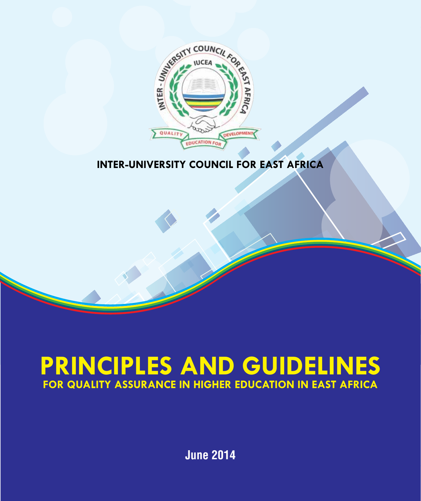

#### **INTER-UNIVERSITY COUNCIL FOR EAST AFRICA**

## **PRINCIPLES AND GUIDELINES FOR QUALITY ASSURANCE IN HIGHER EDUCATION IN EAST AFRICA**

**June 2014**

PB 1980 – PB 1980 – PB 1980 – PB 1980 – PB 1980 – PB 1980 – PB 1980 – PB 1980 – PB 1980 – PB 1980 – PB 1980 –<br>PB 1980 – PB 1980 – PB 1980 – PB 1980 – PB 1980 – PB 1980 – PB 1980 – PB 1980 – PB 1980 – PB 1980 – PB 1980 –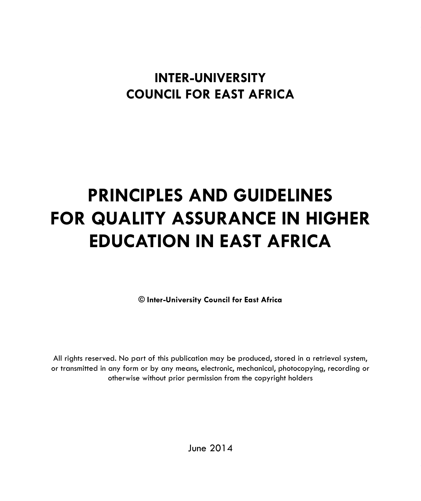## **INTER-UNIVERSITY COUNCIL FOR EAST AFRICA**

## **PRINCIPLES AND GUIDELINES FOR QUALITY ASSURANCE IN HIGHER EDUCATION IN EAST AFRICA**

**© Inter-University Council for East Africa**

All rights reserved. No part of this publication may be produced, stored in a retrieval system, or transmitted in any form or by any means, electronic, mechanical, photocopying, recording or otherwise without prior permission from the copyright holders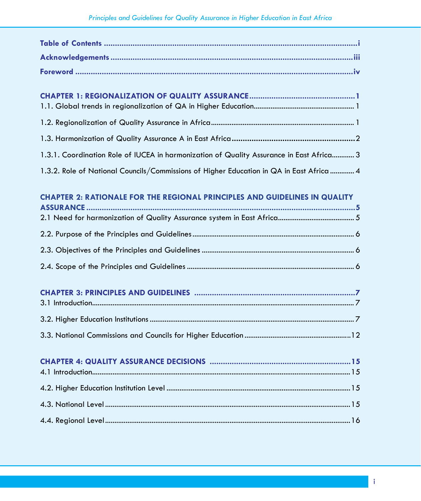| 1.3.1. Coordination Role of IUCEA in harmonization of Quality Assurance in East Africa 3 |  |
|------------------------------------------------------------------------------------------|--|
| 1.3.2. Role of National Councils/Commissions of Higher Education in QA in East Africa  4 |  |

#### **CHAPTER 2: RATIONALE FOR THE REGIONAL PRINCIPLES AND GUIDELINES IN QUALITY**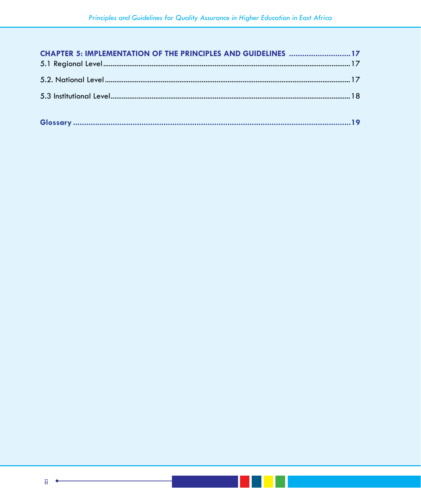| CHAPTER 5: IMPLEMENTATION OF THE PRINCIPLES AND GUIDELINES  17 |  |
|----------------------------------------------------------------|--|
|                                                                |  |
|                                                                |  |
|                                                                |  |
|                                                                |  |
|                                                                |  |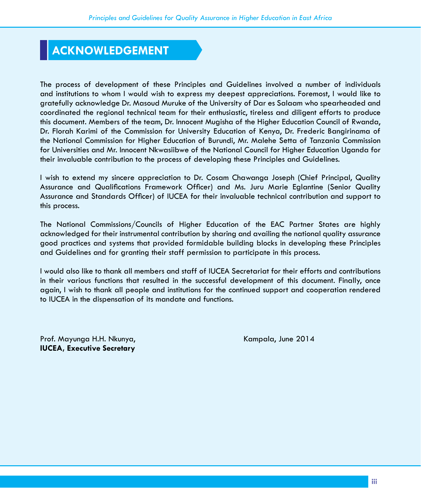### **ACKNOWLEDGEMENT**

The process of development of these Principles and Guidelines involved a number of individuals and institutions to whom I would wish to express my deepest appreciations. Foremost, I would like to gratefully acknowledge Dr. Masoud Muruke of the University of Dar es Salaam who spearheaded and coordinated the regional technical team for their enthusiastic, tireless and diligent efforts to produce this document. Members of the team, Dr. Innocent Mugisha of the Higher Education Council of Rwanda, Dr. Florah Karimi of the Commission for University Education of Kenya, Dr. Frederic Bangirinama of the National Commission for Higher Education of Burundi, Mr. Malehe Setta of Tanzania Commission for Universities and Mr. Innocent Nkwasiibwe of the National Council for Higher Education Uganda for their invaluable contribution to the process of developing these Principles and Guidelines.

I wish to extend my sincere appreciation to Dr. Cosam Chawanga Joseph (Chief Principal, Quality Assurance and Qualifications Framework Officer) and Ms. Juru Marie Eglantine (Senior Quality Assurance and Standards Officer) of IUCEA for their invaluable technical contribution and support to this process.

The National Commissions/Councils of Higher Education of the EAC Partner States are highly acknowledged for their instrumental contribution by sharing and availing the national quality assurance good practices and systems that provided formidable building blocks in developing these Principles and Guidelines and for granting their staff permission to participate in this process.

I would also like to thank all members and staff of IUCEA Secretariat for their efforts and contributions in their various functions that resulted in the successful development of this document. Finally, once again, I wish to thank all people and institutions for the continued support and cooperation rendered to IUCEA in the dispensation of its mandate and functions.

Prof. Mayunga H.H. Nkunya, Kampala, June 2014 **IUCEA, Executive Secretary**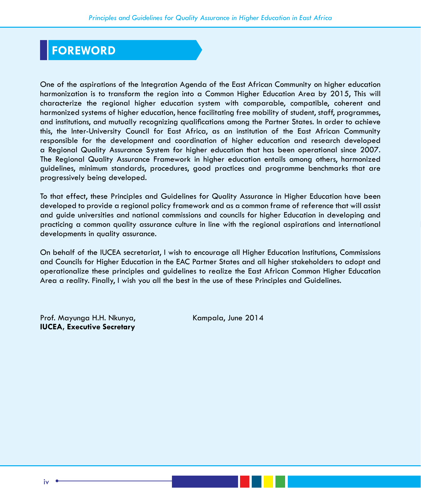### **FOREWORD**

One of the aspirations of the Integration Agenda of the East African Community on higher education harmonization is to transform the region into a Common Higher Education Area by 2015, This will characterize the regional higher education system with comparable, compatible, coherent and harmonized systems of higher education, hence facilitating free mobility of student, staff, programmes, and institutions, and mutually recognizing qualifications among the Partner States. In order to achieve this, the Inter-University Council for East Africa, as an institution of the East African Community responsible for the development and coordination of higher education and research developed a Regional Quality Assurance System for higher education that has been operational since 2007. The Regional Quality Assurance Framework in higher education entails among others, harmonized guidelines, minimum standards, procedures, good practices and programme benchmarks that are progressively being developed.

To that effect, these Principles and Guidelines for Quality Assurance in Higher Education have been developed to provide a regional policy framework and as a common frame of reference that will assist and guide universities and national commissions and councils for higher Education in developing and practicing a common quality assurance culture in line with the regional aspirations and international developments in quality assurance.

On behalf of the IUCEA secretariat, I wish to encourage all Higher Education Institutions, Commissions and Councils for Higher Education in the EAC Partner States and all higher stakeholders to adopt and operationalize these principles and guidelines to realize the East African Common Higher Education Area a reality. Finally, I wish you all the best in the use of these Principles and Guidelines.

Prof. Mayunga H.H. Nkunya, Kampala, June 2014 **IUCEA, Executive Secretary**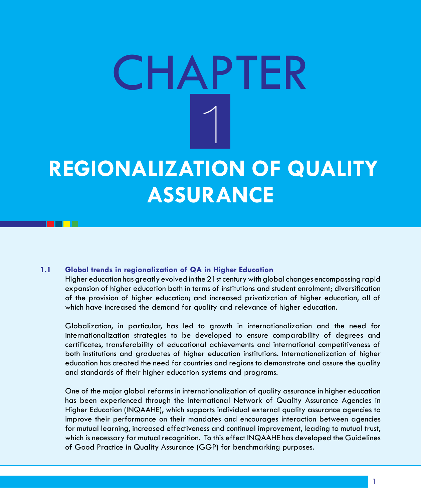# CHAPTER 1

## **REGIONALIZATION OF QUALITY ASSURANCE**

#### **1.1 Global trends in regionalization of QA in Higher Education**

Higher education has greatly evolved in the 21st century with global changes encompassing rapid expansion of higher education both in terms of institutions and student enrolment; diversification of the provision of higher education; and increased privatization of higher education, all of which have increased the demand for quality and relevance of higher education.

Globalization, in particular, has led to growth in internationalization and the need for internationalization strategies to be developed to ensure comparability of degrees and certificates, transferability of educational achievements and international competitiveness of both institutions and graduates of higher education institutions. Internationalization of higher education has created the need for countries and regions to demonstrate and assure the quality and standards of their higher education systems and programs.

One of the major global reforms in internationalization of quality assurance in higher education has been experienced through the International Network of Quality Assurance Agencies in Higher Education (INQAAHE), which supports individual external quality assurance agencies to improve their performance on their mandates and encourages interaction between agencies for mutual learning, increased effectiveness and continual improvement, leading to mutual trust, which is necessary for mutual recognition. To this effect INQAAHE has developed the Guidelines of Good Practice in Quality Assurance (GGP) for benchmarking purposes.

ives a single set of  $\mathcal{O}(\mathcal{O})$  in the single set of  $\mathcal{O}(\mathcal{O})$  in the single set of  $\mathcal{O}(\mathcal{O})$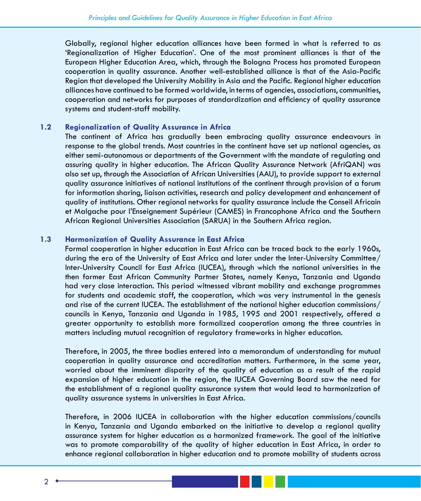Globally, regional higher education alliances have been formed in what is referred to as 'Regionalization of Higher Education'. One of the most prominent alliances is that of the European Higher Education Area, which, through the Bologna Process has promoted European cooperation in quality assurance. Another well-established alliance is that of the Asia-Pacific Region that developed the University Mobility in Asia and the Pacific. Regional higher education alliances have continued to be formed worldwide, in terms of agencies, associations, communities, cooperation and networks for purposes of standardization and efficiency of quality assurance systems and student-staff mobility.

#### **1.2 Regionalization of Quality Assurance in Africa**

The continent of Africa has gradually been embracing quality assurance endeavours in response to the global trends. Most countries in the continent have set up national agencies, as either semi-autonomous or departments of the Government with the mandate of regulating and assuring quality in higher education. The African Quality Assurance Network (AfriQAN) was also set up, through the Association of African Universities (AAU), to provide support to external quality assurance initiatives of national institutions of the continent through provision of a forum for information sharing, liaison activities, research and policy development and enhancement of quality of institutions. Other regional networks for quality assurance include the Conseil Africain et Malgache pour l'Enseignement Supérieur (CAMES) in Francophone Africa and the Southern African Regional Universities Association (SARUA) in the Southern Africa region.

#### **1.3 Harmonization of Quality Assurance in East Africa**

Formal cooperation in higher education in East Africa can be traced back to the early 1960s, during the era of the University of East Africa and later under the Inter-University Committee/ Inter-University Council for East Africa (IUCEA), through which the national universities in the then former East African Community Partner States, namely Kenya, Tanzania and Uganda had very close interaction. This period witnessed vibrant mobility and exchange programmes for students and academic staff, the cooperation, which was very instrumental in the genesis and rise of the current IUCEA. The establishment of the national higher education commissions/ councils in Kenya, Tanzania and Uganda in 1985, 1995 and 2001 respectively, offered a greater opportunity to establish more formalized cooperation among the three countries in matters including mutual recognition of regulatory frameworks in higher education.

Therefore, in 2005, the three bodies entered into a memorandum of understanding for mutual cooperation in quality assurance and accreditation matters. Furthermore, in the same year, worried about the imminent disparity of the quality of education as a result of the rapid expansion of higher education in the region, the IUCEA Governing Board saw the need for the establishment of a regional quality assurance system that would lead to harmonization of quality assurance systems in universities in East Africa.

Therefore, in 2006 IUCEA in collaboration with the higher education commissions/councils in Kenya, Tanzania and Uganda embarked on the initiative to develop a regional quality assurance system for higher education as a harmonized framework. The goal of the initiative was to promote comparability of the quality of higher education in East Africa, in order to enhance regional collaboration in higher education and to promote mobility of students across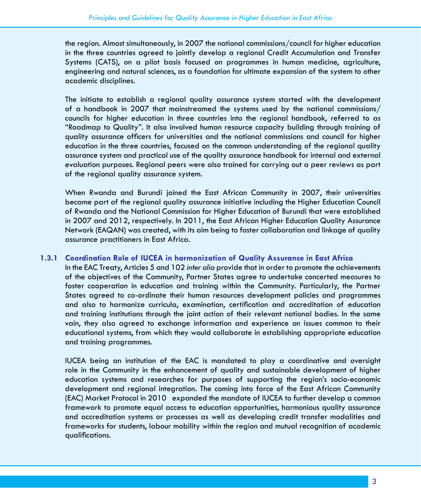the region. Almost simultaneously, in 2007 the national commissions/council for higher education in the three countries agreed to jointly develop a regional Credit Accumulation and Transfer Systems (CATS), on a pilot basis focused on programmes in human medicine, agriculture, engineering and natural sciences, as a foundation for ultimate expansion of the system to other academic disciplines.

The initiate to establish a regional quality assurance system started with the development of a handbook in 2007 that mainstreamed the systems used by the national commissions/ councils for higher education in three countries into the regional handbook, referred to as "Roadmap to Quality". It also involved human resource capacity building through training of quality assurance officers for universities and the national commissions and council for higher education in the three countries, focused on the common understanding of the regional quality assurance system and practical use of the quality assurance handbook for internal and external evaluation purposes. Regional peers were also trained for carrying out a peer reviews as part of the regional quality assurance system.

When Rwanda and Burundi joined the East African Community in 2007, their universities became part of the regional quality assurance initiative including the Higher Education Council of Rwanda and the National Commission for Higher Education of Burundi that were established in 2007 and 2012, respectively. In 2011, the East African Higher Education Quality Assurance Network (EAQAN) was created, with its aim being to foster collaboration and linkage of quality assurance practitioners in East Africa.

#### **1.3.1 Coordination Role of IUCEA in harmonization of Quality Assurance in East Africa**

In the EAC Treaty, Articles 5 and 102 *inter alia* provide that in order to promote the achievements of the objectives of the Community, Partner States agree to undertake concerted measures to foster cooperation in education and training within the Community. Particularly, the Partner States agreed to co-ordinate their human resources development policies and programmes and also to harmonize curricula, examination, certification and accreditation of education and training institutions through the joint action of their relevant national bodies. In the same vain, they also agreed to exchange information and experience on issues common to their educational systems, from which they would collaborate in establishing appropriate education and training programmes.

IUCEA being an institution of the EAC is mandated to play a coordinative and oversight role in the Community in the enhancement of quality and sustainable development of higher education systems and researches for purposes of supporting the region's socio-economic development and regional integration. The coming into force of the East African Community (EAC) Market Protocol in 2010 expanded the mandate of IUCEA to further develop a common framework to promote equal access to education opportunities, harmonious quality assurance and accreditation systems or processes as well as developing credit transfer modalities and frameworks for students, labour mobility within the region and mutual recognition of academic qualifications.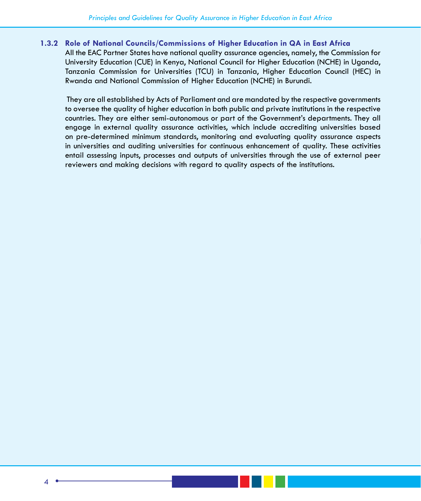#### **1.3.2 Role of National Councils/Commissions of Higher Education in QA in East Africa**

All the EAC Partner States have national quality assurance agencies, namely, the Commission for University Education (CUE) in Kenya, National Council for Higher Education (NCHE) in Uganda, Tanzania Commission for Universities (TCU) in Tanzania, Higher Education Council (HEC) in Rwanda and National Commission of Higher Education (NCHE) in Burundi.

 They are all established by Acts of Parliament and are mandated by the respective governments to oversee the quality of higher education in both public and private institutions in the respective countries. They are either semi-autonomous or part of the Government's departments. They all engage in external quality assurance activities, which include accrediting universities based on pre-determined minimum standards, monitoring and evaluating quality assurance aspects in universities and auditing universities for continuous enhancement of quality. These activities entail assessing inputs, processes and outputs of universities through the use of external peer reviewers and making decisions with regard to quality aspects of the institutions.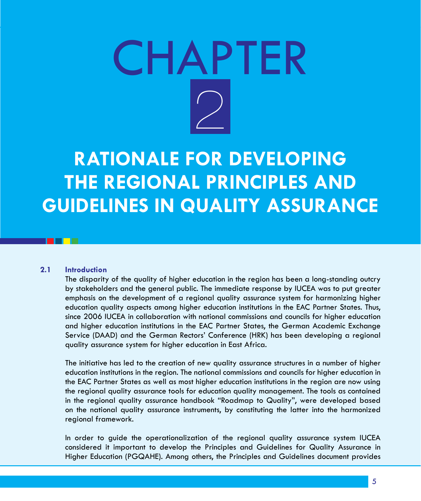# CHAPTER 2

## **RATIONALE FOR DEVELOPING THE REGIONAL PRINCIPLES AND GUIDELINES IN QUALITY ASSURANCE**

#### **2.1 Introduction**

The disparity of the quality of higher education in the region has been a long-standing outcry by stakeholders and the general public. The immediate response by IUCEA was to put greater emphasis on the development of a regional quality assurance system for harmonizing higher education quality aspects among higher education institutions in the EAC Partner States. Thus, since 2006 IUCEA in collaboration with national commissions and councils for higher education and higher education institutions in the EAC Partner States, the German Academic Exchange Service (DAAD) and the German Rectors' Conference (HRK) has been developing a regional quality assurance system for higher education in East Africa.

The initiative has led to the creation of new quality assurance structures in a number of higher education institutions in the region. The national commissions and councils for higher education in the EAC Partner States as well as most higher education institutions in the region are now using the regional quality assurance tools for education quality management. The tools as contained in the regional quality assurance handbook "Roadmap to Quality", were developed based on the national quality assurance instruments, by constituting the latter into the harmonized regional framework.

In order to guide the operationalization of the regional quality assurance system IUCEA considered it important to develop the Principles and Guidelines for Quality Assurance in Higher Education (PGQAHE). Among others, the Principles and Guidelines document provides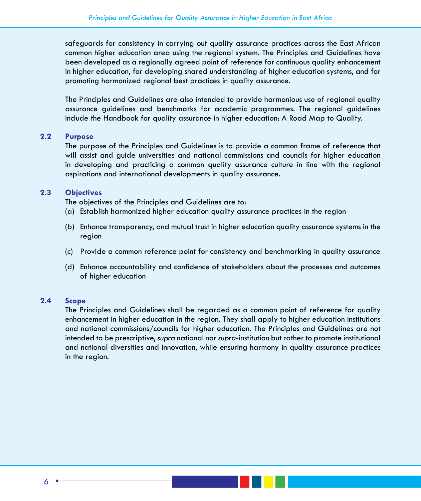safeguards for consistency in carrying out quality assurance practices across the East African common higher education area using the regional system. The Principles and Guidelines have been developed as a regionally agreed point of reference for continuous quality enhancement in higher education, for developing shared understanding of higher education systems, and for promoting harmonized regional best practices in quality assurance.

The Principles and Guidelines are also intended to provide harmonious use of regional quality assurance guidelines and benchmarks for academic programmes. The regional guidelines include the Handbook for quality assurance in higher education: A Road Map to Quality.

#### **2.2 Purpose**

The purpose of the Principles and Guidelines is to provide a common frame of reference that will assist and guide universities and national commissions and councils for higher education in developing and practicing a common quality assurance culture in line with the regional aspirations and international developments in quality assurance.

#### **2.3 Objectives**

The objectives of the Principles and Guidelines are to:

- (a) Establish harmonized higher education quality assurance practices in the region
- (b) Enhance transparency, and mutual trust in higher education quality assurance systems in the region
- (c) Provide a common reference point for consistency and benchmarking in quality assurance
- (d) Enhance accountability and confidence of stakeholders about the processes and outcomes of higher education

#### **2.4 Scope**

The Principles and Guidelines shall be regarded as a common point of reference for quality enhancement in higher education in the region. They shall apply to higher education institutions and national commissions/councils for higher education. The Principles and Guidelines are not intended to be prescriptive, *supra* national nor *supra*-institution but rather to promote institutional and national diversities and innovation, while ensuring harmony in quality assurance practices in the region.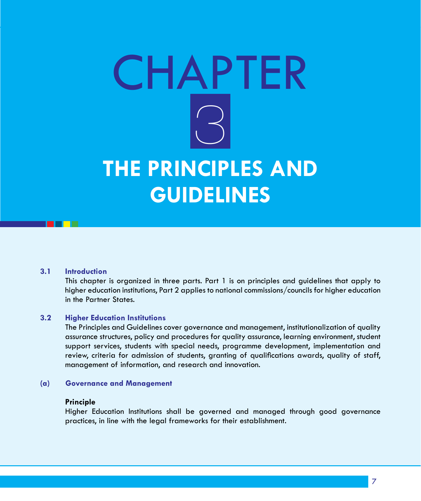## CHAPTER **THE PRINCIPLES AND GUIDELINES** 3

#### **3.1 Introduction**

This chapter is organized in three parts. Part 1 is on principles and guidelines that apply to higher education institutions, Part 2 applies to national commissions/councils for higher education in the Partner States.

#### **3.2 Higher Education Institutions**

The Principles and Guidelines cover governance and management, institutionalization of quality assurance structures, policy and procedures for quality assurance, learning environment, student support services, students with special needs, programme development, implementation and review, criteria for admission of students, granting of qualifications awards, quality of staff, management of information, and research and innovation.

#### **(a) Governance and Management**

#### **Principle**

Higher Education Institutions shall be governed and managed through good governance practices, in line with the legal frameworks for their establishment.

e de la construcción de la construcción de la construcción de la construcción de la construcción de la constru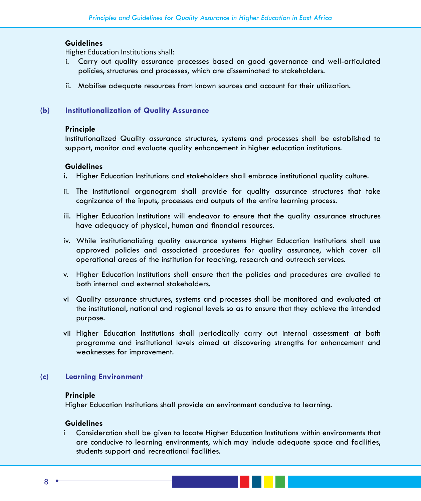#### **Guidelines**

Higher Education Institutions shall:

- i. Carry out quality assurance processes based on good governance and well-articulated policies, structures and processes, which are disseminated to stakeholders.
- ii. Mobilise adequate resources from known sources and account for their utilization.

#### **(b) Institutionalization of Quality Assurance**

#### **Principle**

Institutionalized Quality assurance structures, systems and processes shall be established to support, monitor and evaluate quality enhancement in higher education institutions.

#### **Guidelines**

- i. Higher Education Institutions and stakeholders shall embrace institutional quality culture.
- ii. The institutional organogram shall provide for quality assurance structures that take cognizance of the inputs, processes and outputs of the entire learning process.
- iii. Higher Education Institutions will endeavor to ensure that the quality assurance structures have adequacy of physical, human and financial resources.
- iv. While institutionalizing quality assurance systems Higher Education Institutions shall use approved policies and associated procedures for quality assurance, which cover all operational areas of the institution for teaching, research and outreach services.
- v. Higher Education Institutions shall ensure that the policies and procedures are availed to both internal and external stakeholders.
- vi Quality assurance structures, systems and processes shall be monitored and evaluated at the institutional, national and regional levels so as to ensure that they achieve the intended purpose.
- vii Higher Education Institutions shall periodically carry out internal assessment at both programme and institutional levels aimed at discovering strengths for enhancement and weaknesses for improvement.

#### **(c) Learning Environment**

#### **Principle**

Higher Education Institutions shall provide an environment conducive to learning.

#### **Guidelines**

i Consideration shall be given to locate Higher Education Institutions within environments that are conducive to learning environments, which may include adequate space and facilities, students support and recreational facilities.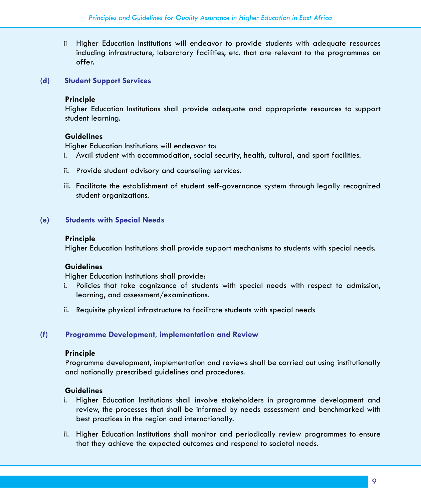ii Higher Education Institutions will endeavor to provide students with adequate resources including infrastructure, laboratory facilities, etc. that are relevant to the programmes on offer.

#### **(d) Student Support Services**

#### **Principle**

Higher Education Institutions shall provide adequate and appropriate resources to support student learning.

#### **Guidelines**

Higher Education Institutions will endeavor to:

- i. Avail student with accommodation, social security, health, cultural, and sport facilities.
- ii. Provide student advisory and counseling services.
- iii. Facilitate the establishment of student self-governance system through legally recognized student organizations.

#### **(e) Students with Special Needs**

#### **Principle**

Higher Education Institutions shall provide support mechanisms to students with special needs.

#### **Guidelines**

Higher Education Institutions shall provide:

- i. Policies that take cognizance of students with special needs with respect to admission, learning, and assessment/examinations.
- ii. Requisite physical infrastructure to facilitate students with special needs

#### **(f) Programme Development, implementation and Review**

#### **Principle**

Programme development, implementation and reviews shall be carried out using institutionally and nationally prescribed guidelines and procedures.

#### **Guidelines**

- i. Higher Education Institutions shall involve stakeholders in programme development and review, the processes that shall be informed by needs assessment and benchmarked with best practices in the region and internationally.
- ii. Higher Education Institutions shall monitor and periodically review programmes to ensure that they achieve the expected outcomes and respond to societal needs.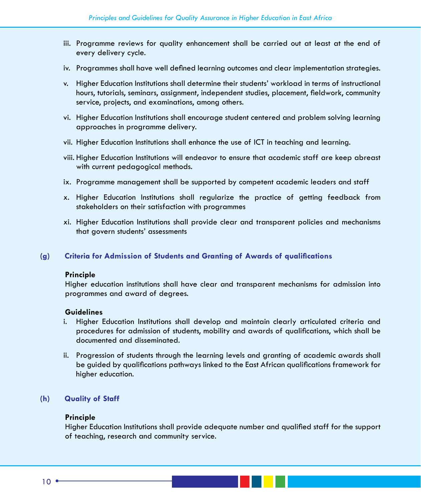- iii. Programme reviews for quality enhancement shall be carried out at least at the end of every delivery cycle.
- iv. Programmes shall have well defined learning outcomes and clear implementation strategies.
- v. Higher Education Institutions shall determine their students' workload in terms of instructional hours, tutorials, seminars, assignment, independent studies, placement, fieldwork, community service, projects, and examinations, among others.
- vi. Higher Education Institutions shall encourage student centered and problem solving learning approaches in programme delivery.
- vii. Higher Education Institutions shall enhance the use of ICT in teaching and learning.
- viii. Higher Education Institutions will endeavor to ensure that academic staff are keep abreast with current pedagogical methods.
- ix. Programme management shall be supported by competent academic leaders and staff
- x. Higher Education Institutions shall regularize the practice of getting feedback from stakeholders on their satisfaction with programmes
- xi. Higher Education Institutions shall provide clear and transparent policies and mechanisms that govern students' assessments

#### **(g) Criteria for Admission of Students and Granting of Awards of qualifications**

#### **Principle**

Higher education institutions shall have clear and transparent mechanisms for admission into programmes and award of degrees.

#### **Guidelines**

- i. Higher Education Institutions shall develop and maintain clearly articulated criteria and procedures for admission of students, mobility and awards of qualifications, which shall be documented and disseminated.
- ii. Progression of students through the learning levels and granting of academic awards shall be guided by qualifications pathways linked to the East African qualifications framework for higher education.

#### **(h) Quality of Staff**

#### **Principle**

Higher Education Institutions shall provide adequate number and qualified staff for the support of teaching, research and community service.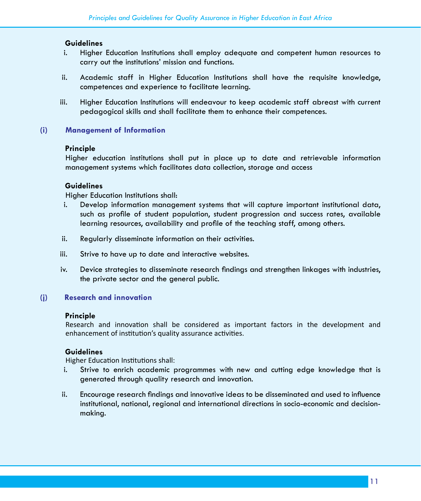#### **Guidelines**

- i. Higher Education Institutions shall employ adequate and competent human resources to carry out the institutions' mission and functions.
- ii. Academic staff in Higher Education Institutions shall have the requisite knowledge, competences and experience to facilitate learning.
- iii. Higher Education Institutions will endeavour to keep academic staff abreast with current pedagogical skills and shall facilitate them to enhance their competences.

#### **(i) Management of Information**

#### **Principle**

Higher education institutions shall put in place up to date and retrievable information management systems which facilitates data collection, storage and access

#### **Guidelines**

Higher Education Institutions shall:

- i. Develop information management systems that will capture important institutional data, such as profile of student population, student progression and success rates, available learning resources, availability and profile of the teaching staff, among others.
- ii. Regularly disseminate information on their activities.
- iii. Strive to have up to date and interactive websites.
- iv. Device strategies to disseminate research findings and strengthen linkages with industries, the private sector and the general public.

#### **(j) Research and innovation**

#### **Principle**

Research and innovation shall be considered as important factors in the development and enhancement of institution's quality assurance activities.

#### **Guidelines**

Higher Education Institutions shall:

- i. Strive to enrich academic programmes with new and cutting edge knowledge that is generated through quality research and innovation.
- ii. Encourage research findings and innovative ideas to be disseminated and used to influence institutional, national, regional and international directions in socio-economic and decisionmaking.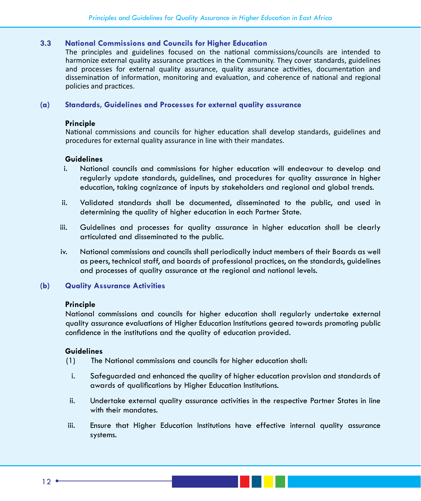#### **3.3 National Commissions and Councils for Higher Education**

The principles and guidelines focused on the national commissions/councils are intended to harmonize external quality assurance practices in the Community. They cover standards, guidelines and processes for external quality assurance, quality assurance activities, documentation and dissemination of information, monitoring and evaluation, and coherence of national and regional policies and practices.

#### **(a) Standards, Guidelines and Processes for external quality assurance**

#### **Principle**

National commissions and councils for higher education shall develop standards, guidelines and procedures for external quality assurance in line with their mandates.

#### **Guidelines**

- i. National councils and commissions for higher education will endeavour to develop and regularly update standards, guidelines, and procedures for quality assurance in higher education, taking cognizance of inputs by stakeholders and regional and global trends.
- ii. Validated standards shall be documented, disseminated to the public, and used in determining the quality of higher education in each Partner State.
- iii. Guidelines and processes for quality assurance in higher education shall be clearly articulated and disseminated to the public.
- iv. National commissions and councils shall periodically induct members of their Boards as well as peers, technical staff, and boards of professional practices, on the standards, guidelines and processes of quality assurance at the regional and national levels.

#### **(b) Quality Assurance Activities**

#### **Principle**

National commissions and councils for higher education shall regularly undertake external quality assurance evaluations of Higher Education Institutions geared towards promoting public confidence in the institutions and the quality of education provided.

#### **Guidelines**

- (1) The National commissions and councils for higher education shall:
- i. Safeguarded and enhanced the quality of higher education provision and standards of awards of qualifications by Higher Education Institutions.
- ii. Undertake external quality assurance activities in the respective Partner States in line with their mandates.
- iii. Ensure that Higher Education Institutions have effective internal quality assurance systems.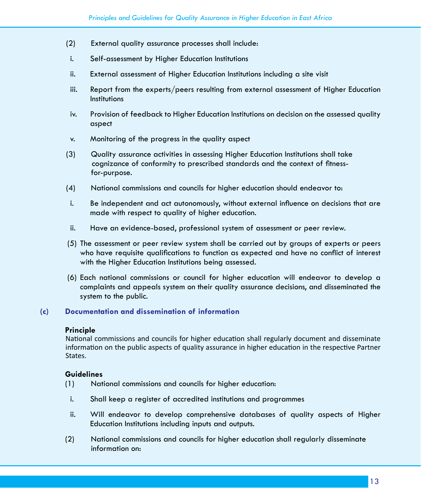- (2) External quality assurance processes shall include:
- i. Self-assessment by Higher Education Institutions
- ii. External assessment of Higher Education Institutions including a site visit
- iii. Report from the experts/peers resulting from external assessment of Higher Education **Institutions**
- iv. Provision of feedback to Higher Education Institutions on decision on the assessed quality aspect
- v. Monitoring of the progress in the quality aspect
- (3) Quality assurance activities in assessing Higher Education Institutions shall take cognizance of conformity to prescribed standards and the context of fitnessfor-purpose.
- (4) National commissions and councils for higher education should endeavor to:
- i. Be independent and act autonomously, without external influence on decisions that are made with respect to quality of higher education.
- ii. Have an evidence-based, professional system of assessment or peer review.
- (5) The assessment or peer review system shall be carried out by groups of experts or peers who have requisite qualifications to function as expected and have no conflict of interest with the Higher Education Institutions being assessed.
- (6) Each national commissions or council for higher education will endeavor to develop a complaints and appeals system on their quality assurance decisions, and disseminated the system to the public.

#### **(c) Documentation and dissemination of information**

#### **Principle**

National commissions and councils for higher education shall regularly document and disseminate information on the public aspects of quality assurance in higher education in the respective Partner States.

#### **Guidelines**

- (1) National commissions and councils for higher education:
- i. Shall keep a register of accredited institutions and programmes
- ii. Will endeavor to develop comprehensive databases of quality aspects of Higher Education Institutions including inputs and outputs.
- (2) National commissions and councils for higher education shall regularly disseminate information on: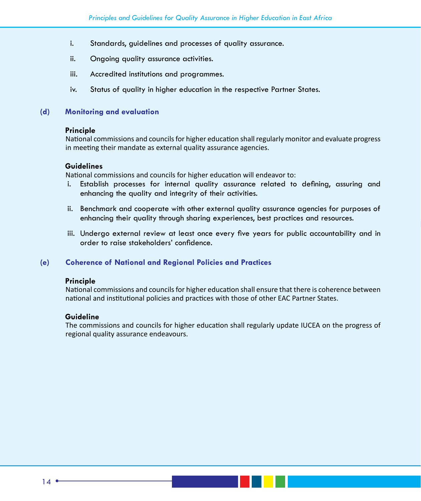- i. Standards, guidelines and processes of quality assurance.
- ii. Ongoing quality assurance activities.
- iii. Accredited institutions and programmes.
- iv. Status of quality in higher education in the respective Partner States.

#### **(d) Monitoring and evaluation**

#### **Principle**

National commissions and councils for higher education shall regularly monitor and evaluate progress in meeting their mandate as external quality assurance agencies.

#### **Guidelines**

National commissions and councils for higher education will endeavor to:

- i. Establish processes for internal quality assurance related to defining, assuring and enhancing the quality and integrity of their activities.
- ii. Benchmark and cooperate with other external quality assurance agencies for purposes of enhancing their quality through sharing experiences, best practices and resources.
- iii. Undergo external review at least once every five years for public accountability and in order to raise stakeholders' confidence.

#### **(e) Coherence of National and Regional Policies and Practices**

#### **Principle**

National commissions and councils for higher education shall ensure that there is coherence between national and institutional policies and practices with those of other EAC Partner States.

#### **Guideline**

The commissions and councils for higher education shall regularly update IUCEA on the progress of regional quality assurance endeavours.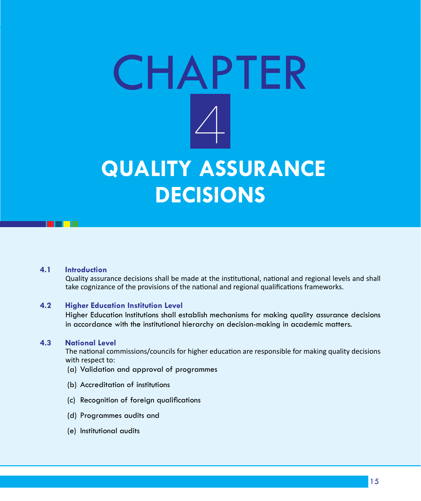## CHAPTER  **QUALITY ASSURANCE DECISIONS** 4

#### **4.1 Introduction**

Quality assurance decisions shall be made at the institutional, national and regional levels and shall take cognizance of the provisions of the national and regional qualifications frameworks.

#### **4.2 Higher Education Institution Level**

Higher Education Institutions shall establish mechanisms for making quality assurance decisions in accordance with the institutional hierarchy on decision-making in academic matters.

#### **4.3 National Level**

The national commissions/councils for higher education are responsible for making quality decisions with respect to:

- (a) Validation and approval of programmes
- (b) Accreditation of institutions
- (c) Recognition of foreign qualifications
- (d) Programmes audits and
- (e) Institutional audits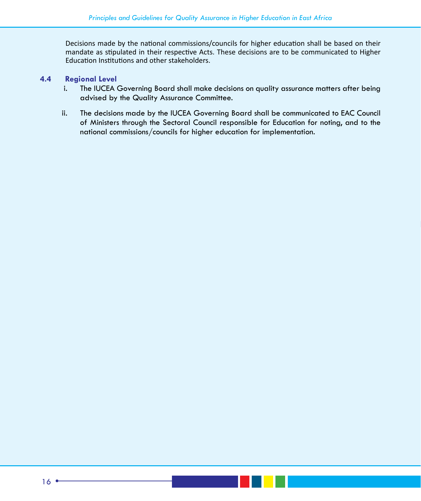Decisions made by the national commissions/councils for higher education shall be based on their mandate as stipulated in their respective Acts. These decisions are to be communicated to Higher Education Institutions and other stakeholders.

#### **4.4 Regional Level**

- i. The IUCEA Governing Board shall make decisions on quality assurance matters after being advised by the Quality Assurance Committee.
- ii. The decisions made by the IUCEA Governing Board shall be communicated to EAC Council of Ministers through the Sectoral Council responsible for Education for noting, and to the national commissions/councils for higher education for implementation.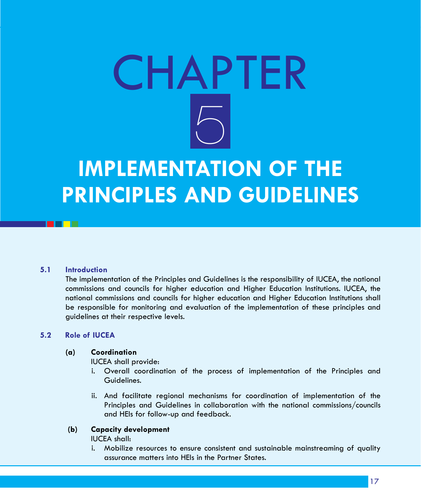# CHAPTER **IMPLEMENTATION OF THE PRINCIPLES AND GUIDELINES** 5

#### **5.1 Introduction**

The implementation of the Principles and Guidelines is the responsibility of IUCEA, the national commissions and councils for higher education and Higher Education Institutions. IUCEA, the national commissions and councils for higher education and Higher Education Institutions shall be responsible for monitoring and evaluation of the implementation of these principles and guidelines at their respective levels.

#### **5.2 Role of IUCEA**

#### **(a) Coordination**

IUCEA shall provide:

- i. Overall coordination of the process of implementation of the Principles and Guidelines.
- ii. And facilitate regional mechanisms for coordination of implementation of the Principles and Guidelines in collaboration with the national commissions/councils and HEIs for follow-up and feedback.

#### **(b) Capacity development**

#### IUCEA shall:

i. Mobilize resources to ensure consistent and sustainable mainstreaming of quality assurance matters into HEIs in the Partner States.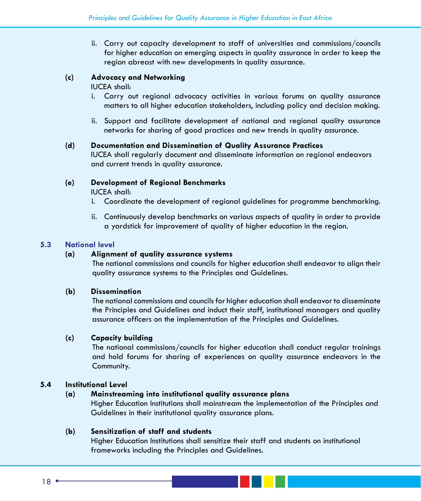ii. Carry out capacity development to staff of universities and commissions/councils for higher education on emerging aspects in quality assurance in order to keep the region abreast with new developments in quality assurance.

#### **(c) Advocacy and Networking**

IUCEA shall:

- i. Carry out regional advocacy activities in various forums on quality assurance matters to all higher education stakeholders, including policy and decision making.
- ii. Support and facilitate development of national and regional quality assurance networks for sharing of good practices and new trends in quality assurance.

#### **(d) Documentation and Dissemination of Quality Assurance Practices**

IUCEA shall regularly document and disseminate information on regional endeavors and current trends in quality assurance.

#### **(e) Development of Regional Benchmarks**

IUCEA shall:

- i. Coordinate the development of regional guidelines for programme benchmarking.
- ii. Continuously develop benchmarks on various aspects of quality in order to provide a yardstick for improvement of quality of higher education in the region.

#### **5.3 National level**

#### **(a) Alignment of quality assurance systems**

The national commissions and councils for higher education shall endeavor to align their quality assurance systems to the Principles and Guidelines.

#### **(b) Dissemination**

The national commissions and councils for higher education shall endeavor to disseminate the Principles and Guidelines and induct their staff, institutional managers and quality assurance officers on the implementation of the Principles and Guidelines.

#### **(c) Capacity building**

The national commissions/councils for higher education shall conduct regular trainings and hold forums for sharing of experiences on quality assurance endeavors in the Community.

#### **5.4 Institutional Level**

#### **(a) Mainstreaming into institutional quality assurance plans**

Higher Education Institutions shall mainstream the implementation of the Principles and Guidelines in their institutional quality assurance plans.

#### **(b) Sensitization of staff and students**

Higher Education Institutions shall sensitize their staff and students on institutional frameworks including the Principles and Guidelines.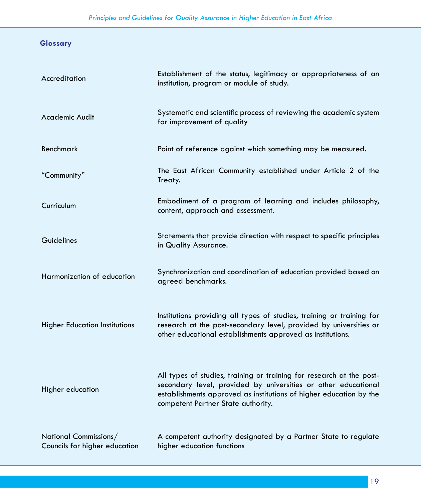*Principles and Guidelines for Quality Assurance in Higher Education in East Africa*

#### **Glossary**

| Accreditation                                          | Establishment of the status, legitimacy or appropriateness of an<br>institution, program or module of study.                                                                                                                                       |
|--------------------------------------------------------|----------------------------------------------------------------------------------------------------------------------------------------------------------------------------------------------------------------------------------------------------|
| Academic Audit                                         | Systematic and scientific process of reviewing the academic system<br>for improvement of quality                                                                                                                                                   |
| Benchmark                                              | Point of reference against which something may be measured.                                                                                                                                                                                        |
| "Community"                                            | The East African Community established under Article 2 of the<br>Treaty.                                                                                                                                                                           |
| Curriculum                                             | Embodiment of a program of learning and includes philosophy,<br>content, approach and assessment.                                                                                                                                                  |
| Guidelines                                             | Statements that provide direction with respect to specific principles<br>in Quality Assurance.                                                                                                                                                     |
| Harmonization of education                             | Synchronization and coordination of education provided based on<br>agreed benchmarks.                                                                                                                                                              |
| <b>Higher Education Institutions</b>                   | Institutions providing all types of studies, training or training for<br>research at the post-secondary level, provided by universities or<br>other educational establishments approved as institutions.                                           |
| Higher education                                       | All types of studies, training or training for research at the post-<br>secondary level, provided by universities or other educational<br>establishments approved as institutions of higher education by the<br>competent Partner State authority. |
| National Commissions/<br>Councils for higher education | A competent authority designated by a Partner State to regulate<br>higher education functions                                                                                                                                                      |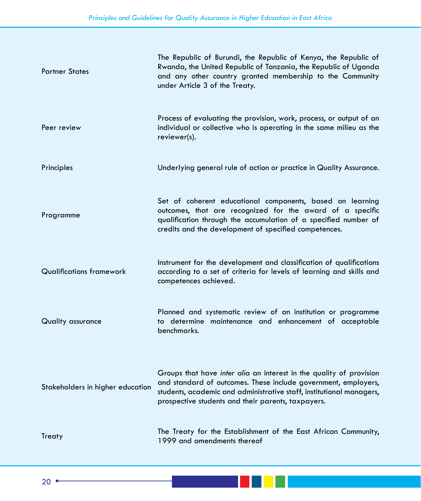| <b>Partner States</b>            | The Republic of Burundi, the Republic of Kenya, the Republic of<br>Rwanda, the United Republic of Tanzania, the Republic of Uganda<br>and any other country granted membership to the Community<br>under Article 3 of the Treaty.                                   |
|----------------------------------|---------------------------------------------------------------------------------------------------------------------------------------------------------------------------------------------------------------------------------------------------------------------|
| Peer review                      | Process of evaluating the provision, work, process, or output of an<br>individual or collective who is operating in the same milieu as the<br>reviewer(s).                                                                                                          |
| Principles                       | Underlying general rule of action or practice in Quality Assurance.                                                                                                                                                                                                 |
| Programme                        | Set of coherent educational components, based on learning<br>outcomes, that are recognized for the award of a specific<br>qualification through the accumulation of a specified number of<br>credits and the development of specified competences.                  |
| <b>Qualifications framework</b>  | Instrument for the development and classification of qualifications<br>according to a set of criteria for levels of learning and skills and<br>competences achieved.                                                                                                |
| <b>Quality assurance</b>         | Planned and systematic review of an institution or programme<br>to determine maintenance and enhancement of acceptable<br>benchmarks.                                                                                                                               |
| Stakeholders in higher education | Groups that have inter alia an interest in the quality of provision<br>and standard of outcomes. These include government, employers,<br>students, academic and administrative staff, institutional managers,<br>prospective students and their parents, taxpayers. |
| Treaty                           | The Treaty for the Establishment of the East African Community,<br>1999 and amendments thereof                                                                                                                                                                      |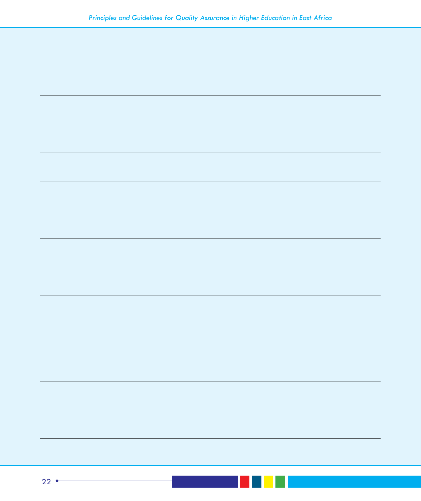| Principles and Guidelines for Quality Assurance in Higher Education in East Africa |
|------------------------------------------------------------------------------------|
|                                                                                    |
|                                                                                    |
|                                                                                    |
|                                                                                    |
|                                                                                    |
|                                                                                    |
|                                                                                    |
|                                                                                    |
|                                                                                    |
|                                                                                    |
|                                                                                    |
|                                                                                    |
|                                                                                    |
|                                                                                    |
|                                                                                    |
|                                                                                    |
|                                                                                    |
|                                                                                    |
|                                                                                    |
|                                                                                    |
|                                                                                    |
|                                                                                    |
|                                                                                    |
|                                                                                    |
|                                                                                    |
|                                                                                    |
|                                                                                    |
|                                                                                    |
|                                                                                    |
|                                                                                    |
|                                                                                    |
|                                                                                    |
|                                                                                    |
|                                                                                    |
|                                                                                    |
|                                                                                    |
|                                                                                    |
|                                                                                    |
|                                                                                    |
|                                                                                    |
|                                                                                    |
|                                                                                    |
|                                                                                    |
|                                                                                    |

 $22 -$